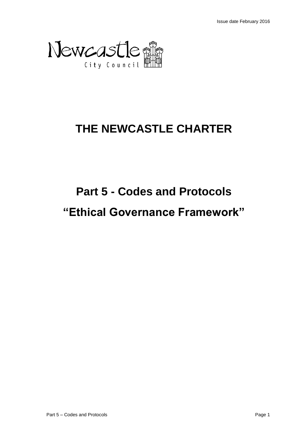

## **THE NEWCASTLE CHARTER**

# **Part 5 - Codes and Protocols "Ethical Governance Framework"**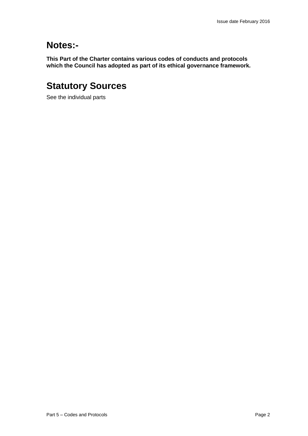### **Notes:-**

**This Part of the Charter contains various codes of conducts and protocols which the Council has adopted as part of its ethical governance framework.**

## **Statutory Sources**

See the individual parts